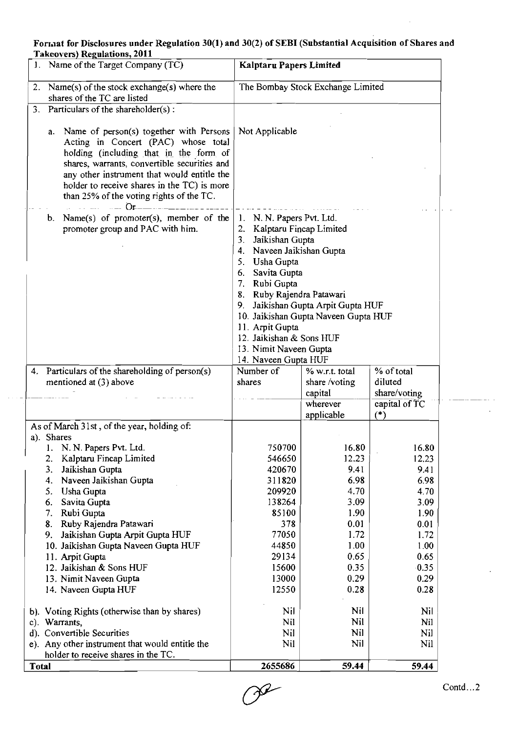## Forr.lat for Disclosures under Regulation 30(1) and 30(2) of SEBI (Substantial Acquisition of Shares and - Takeoven) Regulations, 2011

|              | 1. Name of the Target Company (TC)<br><b>Kalptaru Papers Limited</b>                                                                                                                                                                                                                                                  |                                                                                                                                                                                                                                                                                                                                                                                |                        |                        |  |
|--------------|-----------------------------------------------------------------------------------------------------------------------------------------------------------------------------------------------------------------------------------------------------------------------------------------------------------------------|--------------------------------------------------------------------------------------------------------------------------------------------------------------------------------------------------------------------------------------------------------------------------------------------------------------------------------------------------------------------------------|------------------------|------------------------|--|
|              | 2. Name(s) of the stock exchange(s) where the<br>shares of the TC are listed                                                                                                                                                                                                                                          | The Bombay Stock Exchange Limited                                                                                                                                                                                                                                                                                                                                              |                        |                        |  |
| 3.           | Particulars of the shareholder(s):                                                                                                                                                                                                                                                                                    |                                                                                                                                                                                                                                                                                                                                                                                |                        |                        |  |
|              | a. Name of person(s) together with Persons<br>Acting in Concert (PAC) whose total<br>holding (including that in the form of<br>shares, warrants, convertible securities and<br>any other instrument that would entitle the<br>holder to receive shares in the TC) is more<br>than 25% of the voting rights of the TC. | Not Applicable                                                                                                                                                                                                                                                                                                                                                                 |                        |                        |  |
|              | b. Name(s) of promoter(s), member of the<br>promoter group and PAC with him.                                                                                                                                                                                                                                          | 1. N. N. Papers Pvt. Ltd.<br>2. Kalptaru Fincap Limited<br>3. Jaikishan Gupta<br>4. Naveen Jaikishan Gupta<br>5. Usha Gupta<br>Savita Gupta<br>6.<br>7. Rubi Gupta<br>8. Ruby Rajendra Patawari<br>9. Jaikishan Gupta Arpit Gupta HUF<br>10. Jaikishan Gupta Naveen Gupta HUF<br>11. Arpit Gupta<br>12. Jaikishan & Sons HUF<br>13. Nimit Naveen Gupta<br>14. Naveen Gupta HUF |                        |                        |  |
|              | 4. Particulars of the shareholding of person(s)                                                                                                                                                                                                                                                                       | Number of                                                                                                                                                                                                                                                                                                                                                                      | % w.r.t. total         | % of total             |  |
|              | mentioned at (3) above                                                                                                                                                                                                                                                                                                | shares                                                                                                                                                                                                                                                                                                                                                                         | share/voting           | diluted                |  |
|              |                                                                                                                                                                                                                                                                                                                       |                                                                                                                                                                                                                                                                                                                                                                                | capital                | share/voting           |  |
|              |                                                                                                                                                                                                                                                                                                                       |                                                                                                                                                                                                                                                                                                                                                                                | wherever<br>applicable | capital of TC<br>$(*)$ |  |
|              | As of March 31st, of the year, holding of:                                                                                                                                                                                                                                                                            |                                                                                                                                                                                                                                                                                                                                                                                |                        |                        |  |
|              | a). Shares<br>1. N. N. Papers Pvt. Ltd.                                                                                                                                                                                                                                                                               | 750700                                                                                                                                                                                                                                                                                                                                                                         | 16.80                  | 16.80                  |  |
|              | Kalptaru Fincap Limited<br>2.                                                                                                                                                                                                                                                                                         | 546650                                                                                                                                                                                                                                                                                                                                                                         | 12.23                  | 12.23                  |  |
|              | 3.<br>Jaikishan Gupta                                                                                                                                                                                                                                                                                                 | 420670                                                                                                                                                                                                                                                                                                                                                                         | 9.41                   | 9.41                   |  |
|              | Naveen Jaikishan Gupta<br>4.                                                                                                                                                                                                                                                                                          | 311820                                                                                                                                                                                                                                                                                                                                                                         | 6.98                   | 6.98                   |  |
|              | 5.<br>Usha Gupta                                                                                                                                                                                                                                                                                                      | 209920                                                                                                                                                                                                                                                                                                                                                                         | 4.70                   | 4.70                   |  |
|              | Savita Gupta<br>6.                                                                                                                                                                                                                                                                                                    | 138264                                                                                                                                                                                                                                                                                                                                                                         | 3.09                   | 3.09                   |  |
|              | Rubi Gupta<br>7.                                                                                                                                                                                                                                                                                                      | 85100                                                                                                                                                                                                                                                                                                                                                                          | 1.90                   | 1.90                   |  |
|              | 8.<br>Ruby Rajendra Patawari                                                                                                                                                                                                                                                                                          | 378                                                                                                                                                                                                                                                                                                                                                                            | 0.01                   | 0.01                   |  |
|              | Jaikishan Gupta Arpit Gupta HUF<br>9.                                                                                                                                                                                                                                                                                 | 77050                                                                                                                                                                                                                                                                                                                                                                          | 1.72                   | 1.72                   |  |
|              | 10. Jaikishan Gupta Naveen Gupta HUF                                                                                                                                                                                                                                                                                  | 44850                                                                                                                                                                                                                                                                                                                                                                          | 1.00                   | 1.00                   |  |
|              | 11. Arpit Gupta                                                                                                                                                                                                                                                                                                       | 29134                                                                                                                                                                                                                                                                                                                                                                          | 0.65                   | 0.65                   |  |
|              | 12. Jaikishan & Sons HUF                                                                                                                                                                                                                                                                                              | 15600                                                                                                                                                                                                                                                                                                                                                                          | 0.35                   | 0.35                   |  |
|              | 13. Nimit Naveen Gupta                                                                                                                                                                                                                                                                                                | 13000                                                                                                                                                                                                                                                                                                                                                                          | 0.29                   | 0.29                   |  |
|              | 14. Naveen Gupta HUF                                                                                                                                                                                                                                                                                                  | 12550                                                                                                                                                                                                                                                                                                                                                                          | 0.28                   | 0.28                   |  |
|              | b). Voting Rights (otherwise than by shares)                                                                                                                                                                                                                                                                          | Nil                                                                                                                                                                                                                                                                                                                                                                            | Nil                    | Nil                    |  |
|              | c). Warrants,                                                                                                                                                                                                                                                                                                         | Nil                                                                                                                                                                                                                                                                                                                                                                            | Nil                    | Nil                    |  |
|              | d). Convertible Securities                                                                                                                                                                                                                                                                                            | Nil                                                                                                                                                                                                                                                                                                                                                                            | Nil                    | Nil                    |  |
|              | e). Any other instrument that would entitle the                                                                                                                                                                                                                                                                       | <b>Nil</b>                                                                                                                                                                                                                                                                                                                                                                     | Nil                    | Nil                    |  |
|              | holder to receive shares in the TC.                                                                                                                                                                                                                                                                                   |                                                                                                                                                                                                                                                                                                                                                                                |                        |                        |  |
| <b>Total</b> |                                                                                                                                                                                                                                                                                                                       | 2655686                                                                                                                                                                                                                                                                                                                                                                        | 59.44                  | 59.44                  |  |
|              |                                                                                                                                                                                                                                                                                                                       |                                                                                                                                                                                                                                                                                                                                                                                |                        |                        |  |

 $\alpha$  ,  $\beta$  ,  $\alpha$ 



<u>. . .</u> . .  $\ddot{\phantom{a}}$